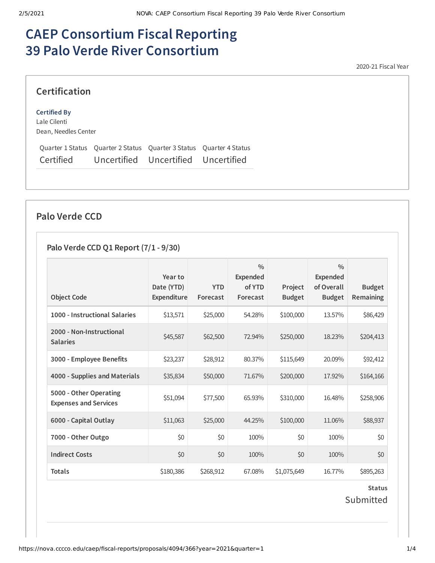# **CAEP Consortium Fiscal Reporting 39 Palo Verde River Consortium**

2020-21 Fiscal Year

#### **Certification**

#### **Certified By**

Lale Cilenti Dean, Needles Center

Quarter 1 Status Quarter 2 Status Quarter 3 Status Quarter 4 Status Certified Uncertified Uncertified Uncertified

#### **Palo Verde CCD**

#### **Palo Verde CCD Q1 Report (7/1 - 9/30)**

|                                                        | Year to                   |                        | $\frac{0}{0}$<br>Expended |                          | $\frac{0}{0}$<br><b>Expended</b> |                                   |
|--------------------------------------------------------|---------------------------|------------------------|---------------------------|--------------------------|----------------------------------|-----------------------------------|
| <b>Object Code</b>                                     | Date (YTD)<br>Expenditure | <b>YTD</b><br>Forecast | of YTD<br>Forecast        | Project<br><b>Budget</b> | of Overall<br><b>Budget</b>      | <b>Budget</b><br><b>Remaining</b> |
| 1000 - Instructional Salaries                          | \$13,571                  | \$25,000               | 54.28%                    | \$100,000                | 13.57%                           | \$86,429                          |
| 2000 - Non-Instructional<br><b>Salaries</b>            | \$45,587                  | \$62,500               | 72.94%                    | \$250,000                | 18.23%                           | \$204,413                         |
| 3000 - Employee Benefits                               | \$23,237                  | \$28,912               | 80.37%                    | \$115,649                | 20.09%                           | \$92,412                          |
| 4000 - Supplies and Materials                          | \$35,834                  | \$50,000               | 71.67%                    | \$200,000                | 17.92%                           | \$164,166                         |
| 5000 - Other Operating<br><b>Expenses and Services</b> | \$51,094                  | \$77,500               | 65.93%                    | \$310,000                | 16.48%                           | \$258,906                         |
| 6000 - Capital Outlay                                  | \$11,063                  | \$25,000               | 44.25%                    | \$100,000                | 11.06%                           | \$88,937                          |
| 7000 - Other Outgo                                     | \$0                       | \$0                    | 100%                      | \$0                      | 100%                             | \$0                               |
| <b>Indirect Costs</b>                                  | \$0                       | \$0                    | 100%                      | \$0                      | 100%                             | \$0                               |
| Totals                                                 | \$180,386                 | \$268,912              | 67.08%                    | \$1,075,649              | 16.77%                           | \$895,263                         |

**Status** Submitted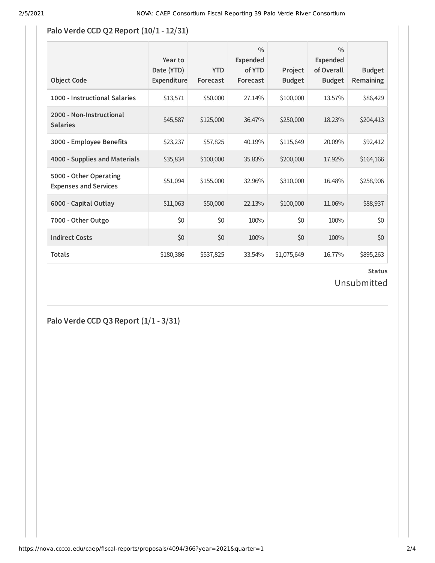#### **Palo Verde CCD Q2 Report (10/1 - 12/31)**

| <b>Object Code</b>                                     | Year to<br>Date (YTD)<br>Expenditure | <b>YTD</b><br>Forecast | $\frac{0}{0}$<br><b>Expended</b><br>of YTD<br>Forecast | Project<br><b>Budget</b> | $\frac{0}{0}$<br><b>Expended</b><br>of Overall<br><b>Budget</b> | <b>Budget</b><br>Remaining |
|--------------------------------------------------------|--------------------------------------|------------------------|--------------------------------------------------------|--------------------------|-----------------------------------------------------------------|----------------------------|
| 1000 - Instructional Salaries                          | \$13,571                             | \$50,000               | 27.14%                                                 | \$100,000                | 13.57%                                                          | \$86,429                   |
| 2000 - Non-Instructional<br><b>Salaries</b>            | \$45,587                             | \$125,000              | 36.47%                                                 | \$250,000                | 18.23%                                                          | \$204,413                  |
| 3000 - Employee Benefits                               | \$23,237                             | \$57,825               | 40.19%                                                 | \$115,649                | 20.09%                                                          | \$92,412                   |
| 4000 - Supplies and Materials                          | \$35,834                             | \$100,000              | 35.83%                                                 | \$200,000                | 17.92%                                                          | \$164,166                  |
| 5000 - Other Operating<br><b>Expenses and Services</b> | \$51,094                             | \$155,000              | 32.96%                                                 | \$310,000                | 16.48%                                                          | \$258,906                  |
| 6000 - Capital Outlay                                  | \$11,063                             | \$50,000               | 22.13%                                                 | \$100,000                | 11.06%                                                          | \$88,937                   |
| 7000 - Other Outgo                                     | \$0                                  | \$0                    | 100%                                                   | \$0                      | 100%                                                            | \$0                        |
| <b>Indirect Costs</b>                                  | \$0                                  | \$0                    | 100%                                                   | \$0                      | 100%                                                            | \$0                        |
| <b>Totals</b>                                          | \$180,386                            | \$537,825              | 33.54%                                                 | \$1,075,649              | 16.77%                                                          | \$895,263                  |

#### **Status** Unsubmitted

#### **Palo Verde CCD Q3 Report (1/1 - 3/31)**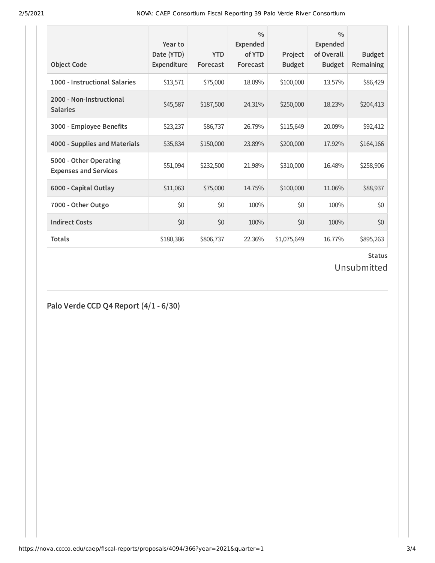2/5/2021 NOVA: CAEP Consortium Fiscal Reporting 39 Palo Verde River Consortium

| <b>Object Code</b>                                     | Year to<br>Date (YTD)<br>Expenditure | <b>YTD</b><br>Forecast | $\frac{0}{0}$<br>Expended<br>of YTD<br>Forecast | Project<br><b>Budget</b> | $\frac{0}{0}$<br>Expended<br>of Overall<br><b>Budget</b> | <b>Budget</b><br><b>Remaining</b> |
|--------------------------------------------------------|--------------------------------------|------------------------|-------------------------------------------------|--------------------------|----------------------------------------------------------|-----------------------------------|
| 1000 - Instructional Salaries                          | \$13,571                             | \$75,000               | 18.09%                                          | \$100,000                | 13.57%                                                   | \$86,429                          |
| 2000 - Non-Instructional<br><b>Salaries</b>            | \$45,587                             | \$187,500              | 24.31%                                          | \$250,000                | 18.23%                                                   | \$204,413                         |
| 3000 - Employee Benefits                               | \$23,237                             | \$86,737               | 26.79%                                          | \$115,649                | 20.09%                                                   | \$92,412                          |
| 4000 - Supplies and Materials                          | \$35,834                             | \$150,000              | 23.89%                                          | \$200,000                | 17.92%                                                   | \$164,166                         |
| 5000 - Other Operating<br><b>Expenses and Services</b> | \$51,094                             | \$232,500              | 21.98%                                          | \$310,000                | 16.48%                                                   | \$258,906                         |
| 6000 - Capital Outlay                                  | \$11,063                             | \$75,000               | 14.75%                                          | \$100,000                | 11.06%                                                   | \$88,937                          |
| 7000 - Other Outgo                                     | \$0                                  | \$0                    | 100%                                            | \$0                      | 100%                                                     | \$0                               |
| <b>Indirect Costs</b>                                  | \$0                                  | \$0                    | 100%                                            | \$0                      | 100%                                                     | \$0                               |
| <b>Totals</b>                                          | \$180,386                            | \$806,737              | 22.36%                                          | \$1,075,649              | 16.77%                                                   | \$895,263                         |

### **Status**

## Unsubmitted

**Palo Verde CCD Q4 Report (4/1 - 6/30)**